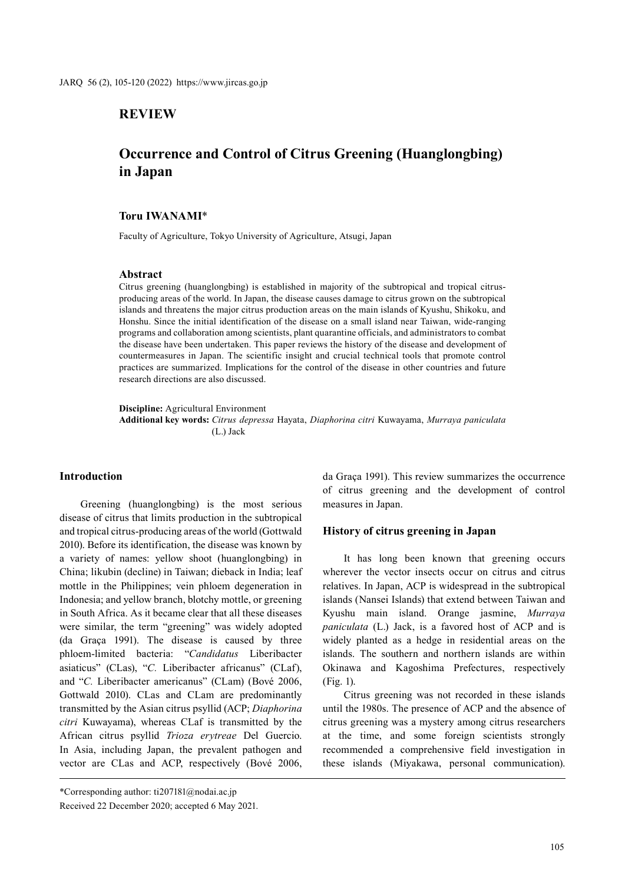# **REVIEW**

# **Occurrence and Control of Citrus Greening (Huanglongbing) in Japan**

# **Toru IWANAMI**\*

Faculty of Agriculture, Tokyo University of Agriculture, Atsugi, Japan

#### **Abstract**

Citrus greening (huanglongbing) is established in majority of the subtropical and tropical citrusproducing areas of the world. In Japan, the disease causes damage to citrus grown on the subtropical islands and threatens the major citrus production areas on the main islands of Kyushu, Shikoku, and Honshu. Since the initial identification of the disease on a small island near Taiwan, wide-ranging programs and collaboration among scientists, plant quarantine officials, and administrators to combat the disease have been undertaken. This paper reviews the history of the disease and development of countermeasures in Japan. The scientific insight and crucial technical tools that promote control practices are summarized. Implications for the control of the disease in other countries and future research directions are also discussed.

**Discipline:** Agricultural Environment **Additional key words:** *Citrus depressa* Hayata, *Diaphorina citri* Kuwayama, *Murraya paniculata* (L.) Jack

### **Introduction**

Greening (huanglongbing) is the most serious disease of citrus that limits production in the subtropical and tropical citrus-producing areas of the world (Gottwald 2010). Before its identification, the disease was known by a variety of names: yellow shoot (huanglongbing) in China; likubin (decline) in Taiwan; dieback in India; leaf mottle in the Philippines; vein phloem degeneration in Indonesia; and yellow branch, blotchy mottle, or greening in South Africa. As it became clear that all these diseases were similar, the term "greening" was widely adopted (da Graça 1991). The disease is caused by three phloem-limited bacteria: "*Candidatus* Liberibacter asiaticus" (CLas), "*C.* Liberibacter africanus" (CLaf), and "*C.* Liberibacter americanus" (CLam) (Bové 2006, Gottwald 2010). CLas and CLam are predominantly transmitted by the Asian citrus psyllid (ACP; *Diaphorina citri* Kuwayama), whereas CLaf is transmitted by the African citrus psyllid *Trioza erytreae* Del Guercio. In Asia, including Japan, the prevalent pathogen and vector are CLas and ACP, respectively (Bové 2006,

da Graça 1991). This review summarizes the occurrence of citrus greening and the development of control measures in Japan.

#### **History of citrus greening in Japan**

It has long been known that greening occurs wherever the vector insects occur on citrus and citrus relatives. In Japan, ACP is widespread in the subtropical islands (Nansei Islands) that extend between Taiwan and Kyushu main island. Orange jasmine, *Murraya paniculata* (L.) Jack, is a favored host of ACP and is widely planted as a hedge in residential areas on the islands. The southern and northern islands are within Okinawa and Kagoshima Prefectures, respectively (Fig. 1).

Citrus greening was not recorded in these islands until the 1980s. The presence of ACP and the absence of citrus greening was a mystery among citrus researchers at the time, and some foreign scientists strongly recommended a comprehensive field investigation in these islands (Miyakawa, personal communication).

<sup>\*</sup>Corresponding author: ti207181@nodai.ac.jp

Received 22 December 2020; accepted 6 May 2021.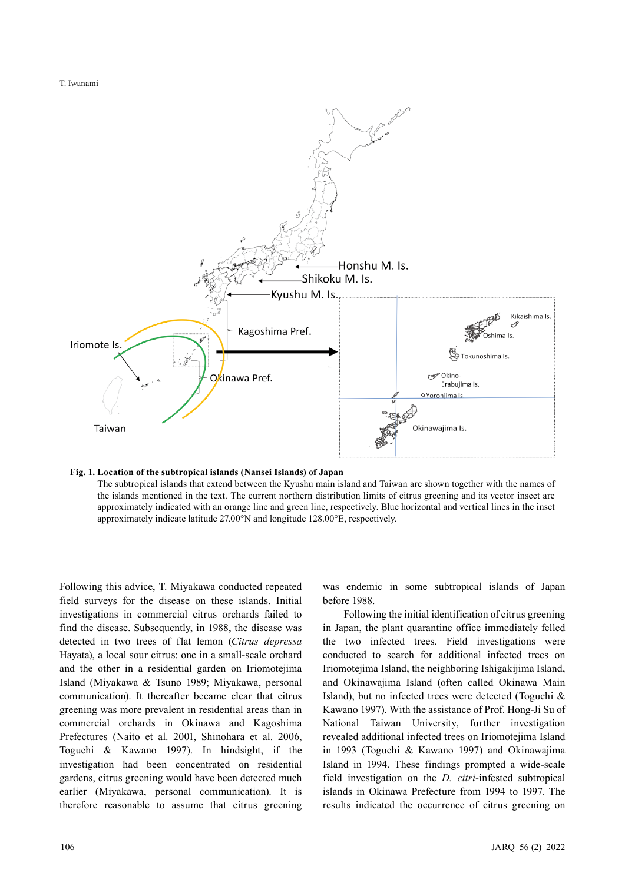

#### **Fig. 1. Location of the subtropical islands (Nansei Islands) of Japan**

The subtropical islands that extend between the Kyushu main island and Taiwan are shown together with the names of the islands mentioned in the text. The current northern distribution limits of citrus greening and its vector insect are approximately indicated with an orange line and green line, respectively. Blue horizontal and vertical lines in the inset approximately indicate latitude 27.00°N and longitude 128.00°E, respectively.

Following this advice, T. Miyakawa conducted repeated field surveys for the disease on these islands. Initial investigations in commercial citrus orchards failed to find the disease. Subsequently, in 1988, the disease was detected in two trees of flat lemon (*Citrus depressa* Hayata), a local sour citrus: one in a small-scale orchard and the other in a residential garden on Iriomotejima Island (Miyakawa & Tsuno 1989; Miyakawa, personal communication). It thereafter became clear that citrus greening was more prevalent in residential areas than in commercial orchards in Okinawa and Kagoshima Prefectures (Naito et al. 2001, Shinohara et al. 2006, Toguchi & Kawano 1997). In hindsight, if the investigation had been concentrated on residential gardens, citrus greening would have been detected much earlier (Miyakawa, personal communication). It is therefore reasonable to assume that citrus greening was endemic in some subtropical islands of Japan before 1988.

Following the initial identification of citrus greening in Japan, the plant quarantine office immediately felled the two infected trees. Field investigations were conducted to search for additional infected trees on Iriomotejima Island, the neighboring Ishigakijima Island, and Okinawajima Island (often called Okinawa Main Island), but no infected trees were detected (Toguchi & Kawano 1997). With the assistance of Prof. Hong-Ji Su of National Taiwan University, further investigation revealed additional infected trees on Iriomotejima Island in 1993 (Toguchi & Kawano 1997) and Okinawajima Island in 1994. These findings prompted a wide-scale field investigation on the *D. citri*-infested subtropical islands in Okinawa Prefecture from 1994 to 1997. The results indicated the occurrence of citrus greening on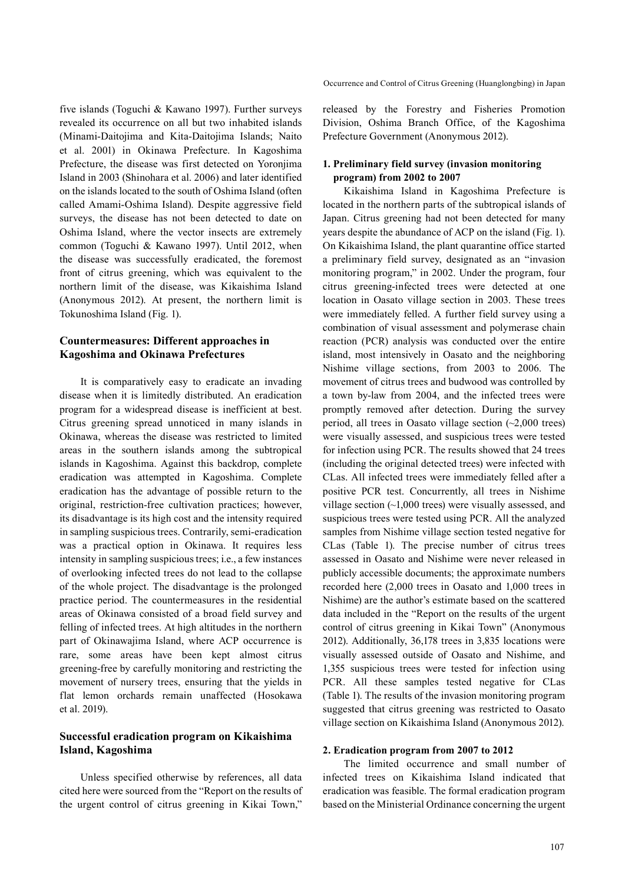five islands (Toguchi & Kawano 1997). Further surveys revealed its occurrence on all but two inhabited islands (Minami-Daitojima and Kita-Daitojima Islands; Naito et al. 2001) in Okinawa Prefecture. In Kagoshima Prefecture, the disease was first detected on Yoronjima Island in 2003 (Shinohara et al. 2006) and later identified on the islands located to the south of Oshima Island (often called Amami-Oshima Island). Despite aggressive field surveys, the disease has not been detected to date on Oshima Island, where the vector insects are extremely common (Toguchi & Kawano 1997). Until 2012, when the disease was successfully eradicated, the foremost front of citrus greening, which was equivalent to the northern limit of the disease, was Kikaishima Island (Anonymous 2012). At present, the northern limit is Tokunoshima Island (Fig. 1).

# **Countermeasures: Different approaches in Kagoshima and Okinawa Prefectures**

It is comparatively easy to eradicate an invading disease when it is limitedly distributed. An eradication program for a widespread disease is inefficient at best. Citrus greening spread unnoticed in many islands in Okinawa, whereas the disease was restricted to limited areas in the southern islands among the subtropical islands in Kagoshima. Against this backdrop, complete eradication was attempted in Kagoshima. Complete eradication has the advantage of possible return to the original, restriction-free cultivation practices; however, its disadvantage is its high cost and the intensity required in sampling suspicious trees. Contrarily, semi-eradication was a practical option in Okinawa. It requires less intensity in sampling suspicious trees; i.e., a few instances of overlooking infected trees do not lead to the collapse of the whole project. The disadvantage is the prolonged practice period. The countermeasures in the residential areas of Okinawa consisted of a broad field survey and felling of infected trees. At high altitudes in the northern part of Okinawajima Island, where ACP occurrence is rare, some areas have been kept almost citrus greening-free by carefully monitoring and restricting the movement of nursery trees, ensuring that the yields in flat lemon orchards remain unaffected (Hosokawa et al. 2019).

# **Successful eradication program on Kikaishima Island, Kagoshima**

Unless specified otherwise by references, all data cited here were sourced from the "Report on the results of the urgent control of citrus greening in Kikai Town,"

released by the Forestry and Fisheries Promotion Division, Oshima Branch Office, of the Kagoshima Prefecture Government (Anonymous 2012).

### **1. Preliminary field survey (invasion monitoring program) from 2002 to 2007**

Kikaishima Island in Kagoshima Prefecture is located in the northern parts of the subtropical islands of Japan. Citrus greening had not been detected for many years despite the abundance of ACP on the island (Fig. 1). On Kikaishima Island, the plant quarantine office started a preliminary field survey, designated as an "invasion monitoring program," in 2002. Under the program, four citrus greening-infected trees were detected at one location in Oasato village section in 2003. These trees were immediately felled. A further field survey using a combination of visual assessment and polymerase chain reaction (PCR) analysis was conducted over the entire island, most intensively in Oasato and the neighboring Nishime village sections, from 2003 to 2006. The movement of citrus trees and budwood was controlled by a town by-law from 2004, and the infected trees were promptly removed after detection. During the survey period, all trees in Oasato village section (~2,000 trees) were visually assessed, and suspicious trees were tested for infection using PCR. The results showed that 24 trees (including the original detected trees) were infected with CLas. All infected trees were immediately felled after a positive PCR test. Concurrently, all trees in Nishime village section (~1,000 trees) were visually assessed, and suspicious trees were tested using PCR. All the analyzed samples from Nishime village section tested negative for CLas (Table 1). The precise number of citrus trees assessed in Oasato and Nishime were never released in publicly accessible documents; the approximate numbers recorded here (2,000 trees in Oasato and 1,000 trees in Nishime) are the author's estimate based on the scattered data included in the "Report on the results of the urgent control of citrus greening in Kikai Town" (Anonymous 2012). Additionally, 36,178 trees in 3,835 locations were visually assessed outside of Oasato and Nishime, and 1,355 suspicious trees were tested for infection using PCR. All these samples tested negative for CLas (Table 1). The results of the invasion monitoring program suggested that citrus greening was restricted to Oasato village section on Kikaishima Island (Anonymous 2012).

### **2. Eradication program from 2007 to 2012**

The limited occurrence and small number of infected trees on Kikaishima Island indicated that eradication was feasible. The formal eradication program based on the Ministerial Ordinance concerning the urgent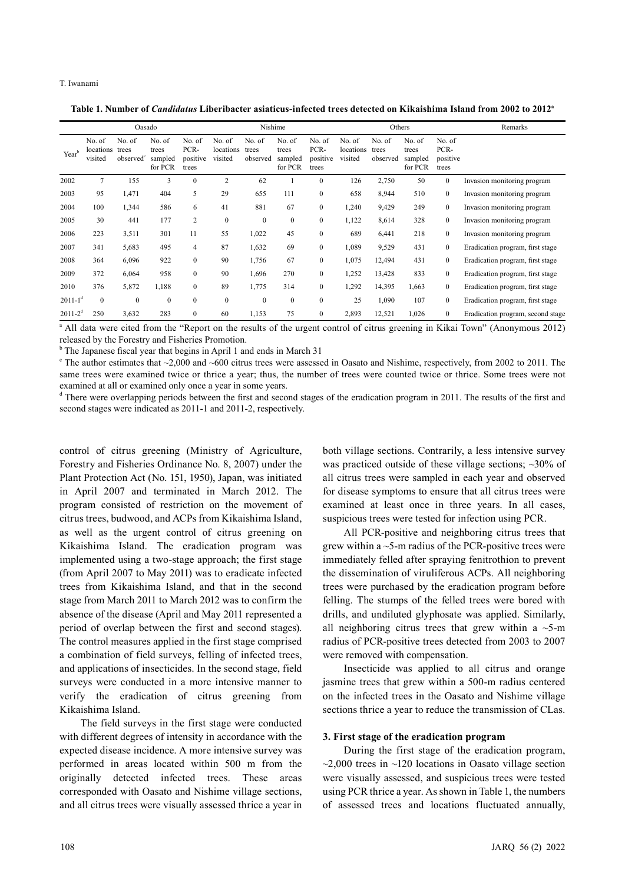**Table 1. Number of** *Candidatus* **Liberibacter asiaticus-infected trees detected on Kikaishima Island from 2002 to 2012a**

|                   | Oasado                         |                                          |                                       |                                     |                                | Nishime                     |                                       |                                     |                                | Others                      |                                       | Remarks                             |                                   |
|-------------------|--------------------------------|------------------------------------------|---------------------------------------|-------------------------------------|--------------------------------|-----------------------------|---------------------------------------|-------------------------------------|--------------------------------|-----------------------------|---------------------------------------|-------------------------------------|-----------------------------------|
| Year <sup>b</sup> | No. of<br>locations<br>visited | No. of<br>trees<br>observed <sup>c</sup> | No. of<br>trees<br>sampled<br>for PCR | No. of<br>PCR-<br>positive<br>trees | No. of<br>locations<br>visited | No. of<br>trees<br>observed | No. of<br>trees<br>sampled<br>for PCR | No. of<br>PCR-<br>positive<br>trees | No. of<br>locations<br>visited | No. of<br>trees<br>observed | No. of<br>trees<br>sampled<br>for PCR | No. of<br>PCR-<br>positive<br>trees |                                   |
| 2002              | 7                              | 155                                      | 3                                     | $\boldsymbol{0}$                    | $\overline{2}$                 | 62                          |                                       | $\mathbf{0}$                        | 126                            | 2,750                       | 50                                    | $\mathbf{0}$                        | Invasion monitoring program       |
| 2003              | 95                             | 1,471                                    | 404                                   | 5                                   | 29                             | 655                         | 111                                   | $\boldsymbol{0}$                    | 658                            | 8,944                       | 510                                   | $\mathbf{0}$                        | Invasion monitoring program       |
| 2004              | 100                            | 1,344                                    | 586                                   | 6                                   | 41                             | 881                         | 67                                    | $\mathbf{0}$                        | 1,240                          | 9,429                       | 249                                   | $\mathbf{0}$                        | Invasion monitoring program       |
| 2005              | 30                             | 441                                      | 177                                   | 2                                   | $\mathbf{0}$                   | $\boldsymbol{0}$            | $\boldsymbol{0}$                      | $\boldsymbol{0}$                    | 1,122                          | 8,614                       | 328                                   | $\mathbf{0}$                        | Invasion monitoring program       |
| 2006              | 223                            | 3,511                                    | 301                                   | 11                                  | 55                             | 1,022                       | 45                                    | $\mathbf{0}$                        | 689                            | 6,441                       | 218                                   | $\mathbf{0}$                        | Invasion monitoring program       |
| 2007              | 341                            | 5,683                                    | 495                                   | 4                                   | 87                             | 1,632                       | 69                                    | $\boldsymbol{0}$                    | 1,089                          | 9,529                       | 431                                   | $\mathbf{0}$                        | Eradication program, first stage  |
| 2008              | 364                            | 6,096                                    | 922                                   | $\mathbf{0}$                        | 90                             | 1,756                       | 67                                    | $\mathbf{0}$                        | 1,075                          | 12,494                      | 431                                   | $\mathbf{0}$                        | Eradication program, first stage  |
| 2009              | 372                            | 6,064                                    | 958                                   | $\mathbf{0}$                        | 90                             | 1,696                       | 270                                   | $\mathbf{0}$                        | 1,252                          | 13,428                      | 833                                   | $\mathbf{0}$                        | Eradication program, first stage  |
| 2010              | 376                            | 5,872                                    | 1,188                                 | $\mathbf{0}$                        | 89                             | 1,775                       | 314                                   | $\mathbf{0}$                        | 1,292                          | 14,395                      | 1,663                                 | $\mathbf{0}$                        | Eradication program, first stage  |
| $2011 - 1^d$      | $\mathbf{0}$                   | $\mathbf{0}$                             | $\mathbf{0}$                          | $\mathbf{0}$                        | $\mathbf{0}$                   | $\mathbf{0}$                | $\boldsymbol{0}$                      | $\mathbf{0}$                        | 25                             | 1,090                       | 107                                   | $\mathbf{0}$                        | Eradication program, first stage  |
| $2011 - 2^d$      | 250                            | 3,632                                    | 283                                   | $\mathbf{0}$                        | 60                             | 1,153                       | 75                                    | $\mathbf{0}$                        | 2,893                          | 12,521                      | 1,026                                 | $\mathbf{0}$                        | Eradication program, second stage |

<sup>a</sup> All data were cited from the "Report on the results of the urgent control of citrus greening in Kikai Town" (Anonymous 2012) released by the Forestry and Fisheries Promotion.

<sup>b</sup> The Japanese fiscal year that begins in April 1 and ends in March 31

The author estimates that  $\sim$ 2,000 and  $\sim$ 600 citrus trees were assessed in Oasato and Nishime, respectively, from 2002 to 2011. The same trees were examined twice or thrice a year; thus, the number of trees were counted twice or thrice. Some trees were not examined at all or examined only once a year in some years.

<sup>d</sup> There were overlapping periods between the first and second stages of the eradication program in 2011. The results of the first and second stages were indicated as 2011-1 and 2011-2, respectively.

control of citrus greening (Ministry of Agriculture, Forestry and Fisheries Ordinance No. 8, 2007) under the Plant Protection Act (No. 151, 1950), Japan, was initiated in April 2007 and terminated in March 2012. The program consisted of restriction on the movement of citrus trees, budwood, and ACPs from Kikaishima Island, as well as the urgent control of citrus greening on Kikaishima Island. The eradication program was implemented using a two-stage approach; the first stage (from April 2007 to May 2011) was to eradicate infected trees from Kikaishima Island, and that in the second stage from March 2011 to March 2012 was to confirm the absence of the disease (April and May 2011 represented a period of overlap between the first and second stages). The control measures applied in the first stage comprised a combination of field surveys, felling of infected trees, and applications of insecticides. In the second stage, field surveys were conducted in a more intensive manner to verify the eradication of citrus greening from Kikaishima Island.

The field surveys in the first stage were conducted with different degrees of intensity in accordance with the expected disease incidence. A more intensive survey was performed in areas located within 500 m from the originally detected infected trees. These areas corresponded with Oasato and Nishime village sections, and all citrus trees were visually assessed thrice a year in

both village sections. Contrarily, a less intensive survey was practiced outside of these village sections; ~30% of all citrus trees were sampled in each year and observed for disease symptoms to ensure that all citrus trees were examined at least once in three years. In all cases, suspicious trees were tested for infection using PCR.

All PCR-positive and neighboring citrus trees that grew within a ~5-m radius of the PCR-positive trees were immediately felled after spraying fenitrothion to prevent the dissemination of viruliferous ACPs. All neighboring trees were purchased by the eradication program before felling. The stumps of the felled trees were bored with drills, and undiluted glyphosate was applied. Similarly, all neighboring citrus trees that grew within a  $\sim$ 5-m radius of PCR-positive trees detected from 2003 to 2007 were removed with compensation.

Insecticide was applied to all citrus and orange jasmine trees that grew within a 500-m radius centered on the infected trees in the Oasato and Nishime village sections thrice a year to reduce the transmission of CLas.

#### **3. First stage of the eradication program**

During the first stage of the eradication program,  $\sim$ 2,000 trees in  $\sim$ 120 locations in Oasato village section were visually assessed, and suspicious trees were tested using PCR thrice a year. As shown in Table 1, the numbers of assessed trees and locations fluctuated annually,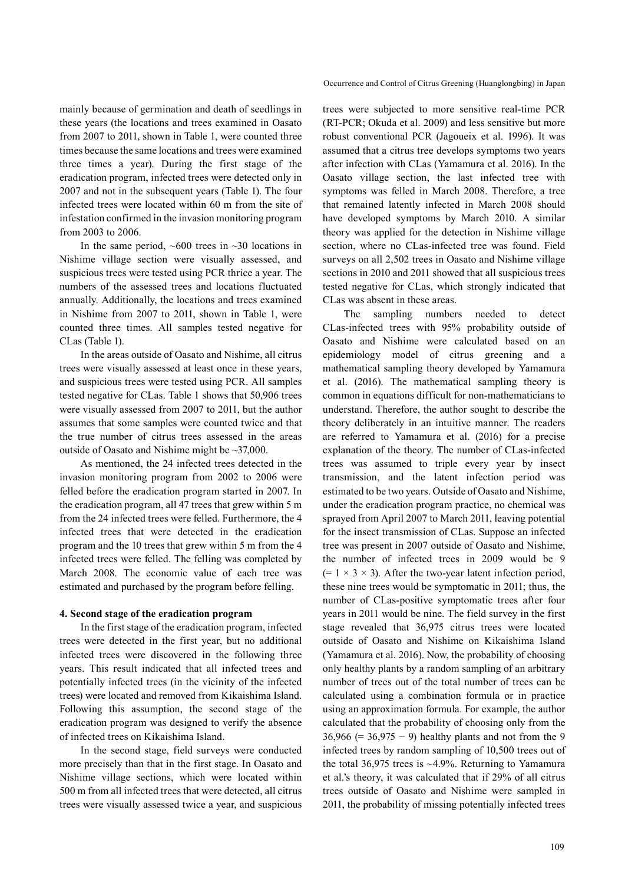mainly because of germination and death of seedlings in these years (the locations and trees examined in Oasato from 2007 to 2011, shown in Table 1, were counted three times because the same locations and trees were examined three times a year). During the first stage of the eradication program, infected trees were detected only in 2007 and not in the subsequent years (Table 1). The four infected trees were located within 60 m from the site of infestation confirmed in the invasion monitoring program from 2003 to 2006.

In the same period,  $~600$  trees in  $~30$  locations in Nishime village section were visually assessed, and suspicious trees were tested using PCR thrice a year. The numbers of the assessed trees and locations fluctuated annually. Additionally, the locations and trees examined in Nishime from 2007 to 2011, shown in Table 1, were counted three times. All samples tested negative for CLas (Table 1).

In the areas outside of Oasato and Nishime, all citrus trees were visually assessed at least once in these years, and suspicious trees were tested using PCR. All samples tested negative for CLas. Table 1 shows that 50,906 trees were visually assessed from 2007 to 2011, but the author assumes that some samples were counted twice and that the true number of citrus trees assessed in the areas outside of Oasato and Nishime might be ~37,000.

As mentioned, the 24 infected trees detected in the invasion monitoring program from 2002 to 2006 were felled before the eradication program started in 2007. In the eradication program, all 47 trees that grew within 5 m from the 24 infected trees were felled. Furthermore, the 4 infected trees that were detected in the eradication program and the 10 trees that grew within 5 m from the 4 infected trees were felled. The felling was completed by March 2008. The economic value of each tree was estimated and purchased by the program before felling.

#### **4. Second stage of the eradication program**

In the first stage of the eradication program, infected trees were detected in the first year, but no additional infected trees were discovered in the following three years. This result indicated that all infected trees and potentially infected trees (in the vicinity of the infected trees) were located and removed from Kikaishima Island. Following this assumption, the second stage of the eradication program was designed to verify the absence of infected trees on Kikaishima Island.

In the second stage, field surveys were conducted more precisely than that in the first stage. In Oasato and Nishime village sections, which were located within 500 m from all infected trees that were detected, all citrus trees were visually assessed twice a year, and suspicious

trees were subjected to more sensitive real-time PCR (RT-PCR; Okuda et al. 2009) and less sensitive but more robust conventional PCR (Jagoueix et al. 1996). It was assumed that a citrus tree develops symptoms two years after infection with CLas (Yamamura et al. 2016). In the Oasato village section, the last infected tree with symptoms was felled in March 2008. Therefore, a tree that remained latently infected in March 2008 should have developed symptoms by March 2010. A similar theory was applied for the detection in Nishime village section, where no CLas-infected tree was found. Field surveys on all 2,502 trees in Oasato and Nishime village sections in 2010 and 2011 showed that all suspicious trees tested negative for CLas, which strongly indicated that CLas was absent in these areas.

The sampling numbers needed to detect CLas-infected trees with 95% probability outside of Oasato and Nishime were calculated based on an epidemiology model of citrus greening and a mathematical sampling theory developed by Yamamura et al. (2016). The mathematical sampling theory is common in equations difficult for non-mathematicians to understand. Therefore, the author sought to describe the theory deliberately in an intuitive manner. The readers are referred to Yamamura et al. (2016) for a precise explanation of the theory. The number of CLas-infected trees was assumed to triple every year by insect transmission, and the latent infection period was estimated to be two years. Outside of Oasato and Nishime, under the eradication program practice, no chemical was sprayed from April 2007 to March 2011, leaving potential for the insect transmission of CLas. Suppose an infected tree was present in 2007 outside of Oasato and Nishime, the number of infected trees in 2009 would be 9  $(= 1 \times 3 \times 3)$ . After the two-year latent infection period, these nine trees would be symptomatic in 2011; thus, the number of CLas-positive symptomatic trees after four years in 2011 would be nine. The field survey in the first stage revealed that 36,975 citrus trees were located outside of Oasato and Nishime on Kikaishima Island (Yamamura et al. 2016). Now, the probability of choosing only healthy plants by a random sampling of an arbitrary number of trees out of the total number of trees can be calculated using a combination formula or in practice using an approximation formula. For example, the author calculated that the probability of choosing only from the 36,966 (= 36,975 − 9) healthy plants and not from the 9 infected trees by random sampling of 10,500 trees out of the total  $36,975$  trees is ~4.9%. Returning to Yamamura et al.'s theory, it was calculated that if 29% of all citrus trees outside of Oasato and Nishime were sampled in 2011, the probability of missing potentially infected trees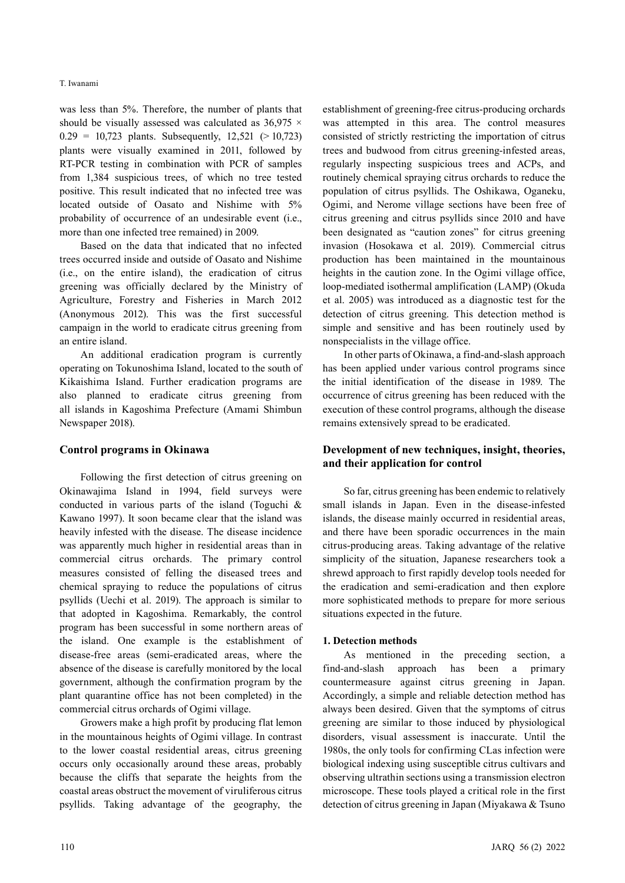was less than 5%. Therefore, the number of plants that should be visually assessed was calculated as  $36.975 \times$  $0.29 = 10,723$  plants. Subsequently,  $12,521$  ( $> 10,723$ ) plants were visually examined in 2011, followed by RT-PCR testing in combination with PCR of samples from 1,384 suspicious trees, of which no tree tested positive. This result indicated that no infected tree was located outside of Oasato and Nishime with 5% probability of occurrence of an undesirable event (i.e., more than one infected tree remained) in 2009.

Based on the data that indicated that no infected trees occurred inside and outside of Oasato and Nishime (i.e., on the entire island), the eradication of citrus greening was officially declared by the Ministry of Agriculture, Forestry and Fisheries in March 2012 (Anonymous 2012). This was the first successful campaign in the world to eradicate citrus greening from an entire island.

An additional eradication program is currently operating on Tokunoshima Island, located to the south of Kikaishima Island. Further eradication programs are also planned to eradicate citrus greening from all islands in Kagoshima Prefecture (Amami Shimbun Newspaper 2018).

### **Control programs in Okinawa**

Following the first detection of citrus greening on Okinawajima Island in 1994, field surveys were conducted in various parts of the island (Toguchi & Kawano 1997). It soon became clear that the island was heavily infested with the disease. The disease incidence was apparently much higher in residential areas than in commercial citrus orchards. The primary control measures consisted of felling the diseased trees and chemical spraying to reduce the populations of citrus psyllids (Uechi et al. 2019). The approach is similar to that adopted in Kagoshima. Remarkably, the control program has been successful in some northern areas of the island. One example is the establishment of disease-free areas (semi-eradicated areas, where the absence of the disease is carefully monitored by the local government, although the confirmation program by the plant quarantine office has not been completed) in the commercial citrus orchards of Ogimi village.

Growers make a high profit by producing flat lemon in the mountainous heights of Ogimi village. In contrast to the lower coastal residential areas, citrus greening occurs only occasionally around these areas, probably because the cliffs that separate the heights from the coastal areas obstruct the movement of viruliferous citrus psyllids. Taking advantage of the geography, the

establishment of greening-free citrus-producing orchards was attempted in this area. The control measures consisted of strictly restricting the importation of citrus trees and budwood from citrus greening-infested areas, regularly inspecting suspicious trees and ACPs, and routinely chemical spraying citrus orchards to reduce the population of citrus psyllids. The Oshikawa, Oganeku, Ogimi, and Nerome village sections have been free of citrus greening and citrus psyllids since 2010 and have been designated as "caution zones" for citrus greening invasion (Hosokawa et al. 2019). Commercial citrus production has been maintained in the mountainous heights in the caution zone. In the Ogimi village office, loop-mediated isothermal amplification (LAMP) (Okuda et al. 2005) was introduced as a diagnostic test for the detection of citrus greening. This detection method is simple and sensitive and has been routinely used by nonspecialists in the village office.

In other parts of Okinawa, a find-and-slash approach has been applied under various control programs since the initial identification of the disease in 1989. The occurrence of citrus greening has been reduced with the execution of these control programs, although the disease remains extensively spread to be eradicated.

# **Development of new techniques, insight, theories, and their application for control**

So far, citrus greening has been endemic to relatively small islands in Japan. Even in the disease-infested islands, the disease mainly occurred in residential areas, and there have been sporadic occurrences in the main citrus-producing areas. Taking advantage of the relative simplicity of the situation, Japanese researchers took a shrewd approach to first rapidly develop tools needed for the eradication and semi-eradication and then explore more sophisticated methods to prepare for more serious situations expected in the future.

# **1. Detection methods**

As mentioned in the preceding section, a find-and-slash approach has been a primary countermeasure against citrus greening in Japan. Accordingly, a simple and reliable detection method has always been desired. Given that the symptoms of citrus greening are similar to those induced by physiological disorders, visual assessment is inaccurate. Until the 1980s, the only tools for confirming CLas infection were biological indexing using susceptible citrus cultivars and observing ultrathin sections using a transmission electron microscope. These tools played a critical role in the first detection of citrus greening in Japan (Miyakawa & Tsuno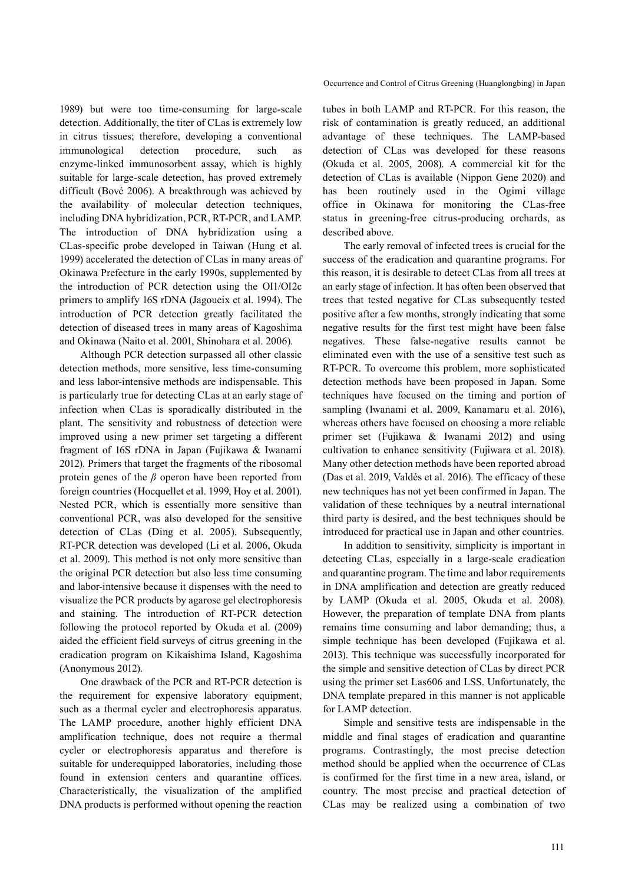1989) but were too time-consuming for large-scale detection. Additionally, the titer of CLas is extremely low in citrus tissues; therefore, developing a conventional immunological detection procedure, such as enzyme-linked immunosorbent assay, which is highly suitable for large-scale detection, has proved extremely difficult (Bové 2006). A breakthrough was achieved by the availability of molecular detection techniques, including DNA hybridization, PCR, RT-PCR, and LAMP. The introduction of DNA hybridization using a CLas-specific probe developed in Taiwan (Hung et al. 1999) accelerated the detection of CLas in many areas of Okinawa Prefecture in the early 1990s, supplemented by the introduction of PCR detection using the OI1/OI2c primers to amplify 16S rDNA (Jagoueix et al. 1994). The introduction of PCR detection greatly facilitated the detection of diseased trees in many areas of Kagoshima and Okinawa (Naito et al. 2001, Shinohara et al. 2006).

Although PCR detection surpassed all other classic detection methods, more sensitive, less time-consuming and less labor-intensive methods are indispensable. This is particularly true for detecting CLas at an early stage of infection when CLas is sporadically distributed in the plant. The sensitivity and robustness of detection were improved using a new primer set targeting a different fragment of 16S rDNA in Japan (Fujikawa & Iwanami 2012). Primers that target the fragments of the ribosomal protein genes of the *β* operon have been reported from foreign countries (Hocquellet et al. 1999, Hoy et al. 2001). Nested PCR, which is essentially more sensitive than conventional PCR, was also developed for the sensitive detection of CLas (Ding et al. 2005). Subsequently, RT-PCR detection was developed (Li et al. 2006, Okuda et al. 2009). This method is not only more sensitive than the original PCR detection but also less time consuming and labor-intensive because it dispenses with the need to visualize the PCR products by agarose gel electrophoresis and staining. The introduction of RT-PCR detection following the protocol reported by Okuda et al. (2009) aided the efficient field surveys of citrus greening in the eradication program on Kikaishima Island, Kagoshima (Anonymous 2012).

One drawback of the PCR and RT-PCR detection is the requirement for expensive laboratory equipment, such as a thermal cycler and electrophoresis apparatus. The LAMP procedure, another highly efficient DNA amplification technique, does not require a thermal cycler or electrophoresis apparatus and therefore is suitable for underequipped laboratories, including those found in extension centers and quarantine offices. Characteristically, the visualization of the amplified DNA products is performed without opening the reaction

tubes in both LAMP and RT-PCR. For this reason, the risk of contamination is greatly reduced, an additional advantage of these techniques. The LAMP-based detection of CLas was developed for these reasons (Okuda et al. 2005, 2008). A commercial kit for the detection of CLas is available (Nippon Gene 2020) and has been routinely used in the Ogimi village office in Okinawa for monitoring the CLas-free status in greening-free citrus-producing orchards, as described above.

The early removal of infected trees is crucial for the success of the eradication and quarantine programs. For this reason, it is desirable to detect CLas from all trees at an early stage of infection. It has often been observed that trees that tested negative for CLas subsequently tested positive after a few months, strongly indicating that some negative results for the first test might have been false negatives. These false-negative results cannot be eliminated even with the use of a sensitive test such as RT-PCR. To overcome this problem, more sophisticated detection methods have been proposed in Japan. Some techniques have focused on the timing and portion of sampling (Iwanami et al. 2009, Kanamaru et al. 2016), whereas others have focused on choosing a more reliable primer set (Fujikawa & Iwanami 2012) and using cultivation to enhance sensitivity (Fujiwara et al. 2018). Many other detection methods have been reported abroad (Das et al. 2019, Valdés et al. 2016). The efficacy of these new techniques has not yet been confirmed in Japan. The validation of these techniques by a neutral international third party is desired, and the best techniques should be introduced for practical use in Japan and other countries.

In addition to sensitivity, simplicity is important in detecting CLas, especially in a large-scale eradication and quarantine program. The time and labor requirements in DNA amplification and detection are greatly reduced by LAMP (Okuda et al. 2005, Okuda et al. 2008). However, the preparation of template DNA from plants remains time consuming and labor demanding; thus, a simple technique has been developed (Fujikawa et al. 2013). This technique was successfully incorporated for the simple and sensitive detection of CLas by direct PCR using the primer set Las606 and LSS. Unfortunately, the DNA template prepared in this manner is not applicable for LAMP detection.

Simple and sensitive tests are indispensable in the middle and final stages of eradication and quarantine programs. Contrastingly, the most precise detection method should be applied when the occurrence of CLas is confirmed for the first time in a new area, island, or country. The most precise and practical detection of CLas may be realized using a combination of two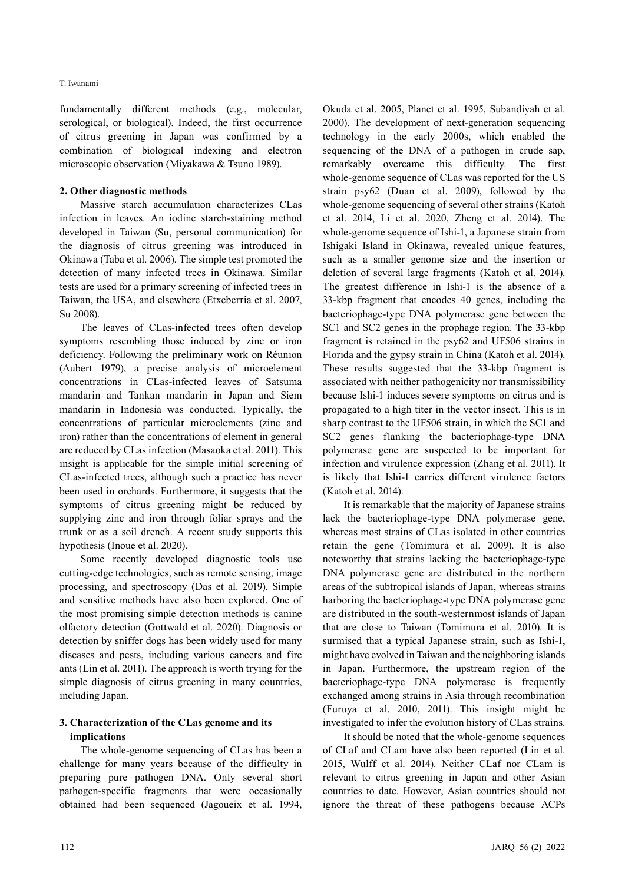fundamentally different methods (e.g., molecular, serological, or biological). Indeed, the first occurrence of citrus greening in Japan was confirmed by a combination of biological indexing and electron microscopic observation (Miyakawa & Tsuno 1989).

### **2. Other diagnostic methods**

Massive starch accumulation characterizes CLas infection in leaves. An iodine starch-staining method developed in Taiwan (Su, personal communication) for the diagnosis of citrus greening was introduced in Okinawa (Taba et al. 2006). The simple test promoted the detection of many infected trees in Okinawa. Similar tests are used for a primary screening of infected trees in Taiwan, the USA, and elsewhere (Etxeberria et al. 2007, Su 2008).

The leaves of CLas-infected trees often develop symptoms resembling those induced by zinc or iron deficiency. Following the preliminary work on Réunion (Aubert 1979), a precise analysis of microelement concentrations in CLas-infected leaves of Satsuma mandarin and Tankan mandarin in Japan and Siem mandarin in Indonesia was conducted. Typically, the concentrations of particular microelements (zinc and iron) rather than the concentrations of element in general are reduced by CLas infection (Masaoka et al. 2011). This insight is applicable for the simple initial screening of CLas-infected trees, although such a practice has never been used in orchards. Furthermore, it suggests that the symptoms of citrus greening might be reduced by supplying zinc and iron through foliar sprays and the trunk or as a soil drench. A recent study supports this hypothesis (Inoue et al. 2020).

Some recently developed diagnostic tools use cutting-edge technologies, such as remote sensing, image processing, and spectroscopy (Das et al. 2019). Simple and sensitive methods have also been explored. One of the most promising simple detection methods is canine olfactory detection (Gottwald et al. 2020). Diagnosis or detection by sniffer dogs has been widely used for many diseases and pests, including various cancers and fire ants (Lin et al. 2011). The approach is worth trying for the simple diagnosis of citrus greening in many countries, including Japan.

# **3. Characterization of the CLas genome and its implications**

The whole-genome sequencing of CLas has been a challenge for many years because of the difficulty in preparing pure pathogen DNA. Only several short pathogen-specific fragments that were occasionally obtained had been sequenced (Jagoueix et al. 1994,

Okuda et al. 2005, Planet et al. 1995, Subandiyah et al. 2000). The development of next-generation sequencing technology in the early 2000s, which enabled the sequencing of the DNA of a pathogen in crude sap, remarkably overcame this difficulty. The first whole-genome sequence of CLas was reported for the US strain psy62 (Duan et al. 2009), followed by the whole-genome sequencing of several other strains (Katoh et al. 2014, Li et al. 2020, Zheng et al. 2014). The whole-genome sequence of Ishi-1, a Japanese strain from Ishigaki Island in Okinawa, revealed unique features, such as a smaller genome size and the insertion or deletion of several large fragments (Katoh et al. 2014). The greatest difference in Ishi-1 is the absence of a 33-kbp fragment that encodes 40 genes, including the bacteriophage-type DNA polymerase gene between the SC1 and SC2 genes in the prophage region. The 33-kbp fragment is retained in the psy62 and UF506 strains in Florida and the gypsy strain in China (Katoh et al. 2014). These results suggested that the 33-kbp fragment is associated with neither pathogenicity nor transmissibility because Ishi-1 induces severe symptoms on citrus and is propagated to a high titer in the vector insect. This is in sharp contrast to the UF506 strain, in which the SC1 and SC2 genes flanking the bacteriophage-type DNA polymerase gene are suspected to be important for infection and virulence expression (Zhang et al. 2011). It is likely that Ishi-1 carries different virulence factors (Katoh et al. 2014).

It is remarkable that the majority of Japanese strains lack the bacteriophage-type DNA polymerase gene, whereas most strains of CLas isolated in other countries retain the gene (Tomimura et al. 2009). It is also noteworthy that strains lacking the bacteriophage-type DNA polymerase gene are distributed in the northern areas of the subtropical islands of Japan, whereas strains harboring the bacteriophage-type DNA polymerase gene are distributed in the south-westernmost islands of Japan that are close to Taiwan (Tomimura et al. 2010). It is surmised that a typical Japanese strain, such as Ishi-1, might have evolved in Taiwan and the neighboring islands in Japan. Furthermore, the upstream region of the bacteriophage-type DNA polymerase is frequently exchanged among strains in Asia through recombination (Furuya et al. 2010, 2011). This insight might be investigated to infer the evolution history of CLas strains.

It should be noted that the whole-genome sequences of CLaf and CLam have also been reported (Lin et al. 2015, Wulff et al. 2014). Neither CLaf nor CLam is relevant to citrus greening in Japan and other Asian countries to date. However, Asian countries should not ignore the threat of these pathogens because ACPs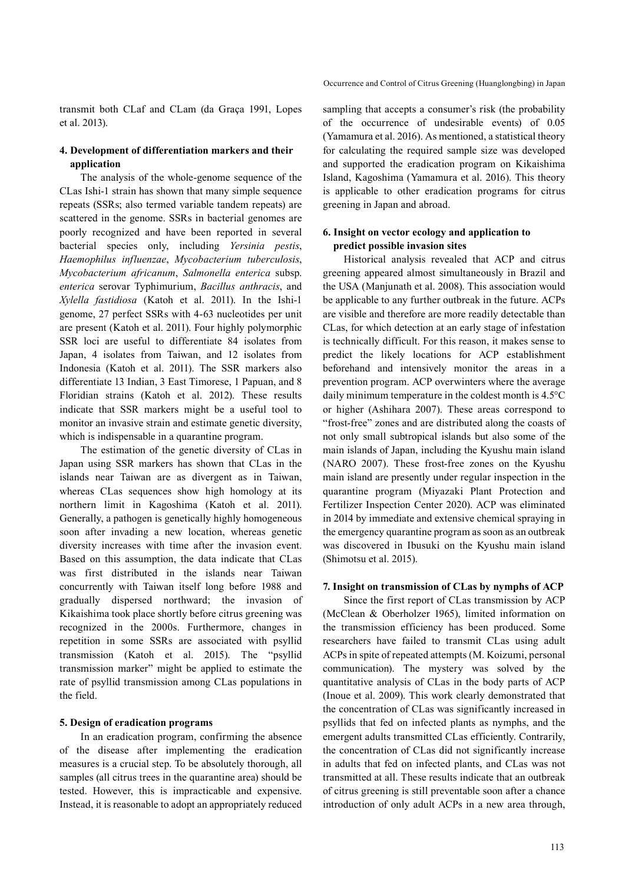transmit both CLaf and CLam (da Graça 1991, Lopes et al. 2013).

### **4. Development of differentiation markers and their application**

The analysis of the whole-genome sequence of the CLas Ishi-1 strain has shown that many simple sequence repeats (SSRs; also termed variable tandem repeats) are scattered in the genome. SSRs in bacterial genomes are poorly recognized and have been reported in several bacterial species only, including *Yersinia pestis*, *Haemophilus influenzae*, *Mycobacterium tuberculosis*, *Mycobacterium africanum*, *Salmonella enterica* subsp. *enterica* serovar Typhimurium, *Bacillus anthracis*, and *Xylella fastidiosa* (Katoh et al. 2011). In the Ishi-1 genome, 27 perfect SSRs with 4-63 nucleotides per unit are present (Katoh et al. 2011). Four highly polymorphic SSR loci are useful to differentiate 84 isolates from Japan, 4 isolates from Taiwan, and 12 isolates from Indonesia (Katoh et al. 2011). The SSR markers also differentiate 13 Indian, 3 East Timorese, 1 Papuan, and 8 Floridian strains (Katoh et al. 2012). These results indicate that SSR markers might be a useful tool to monitor an invasive strain and estimate genetic diversity, which is indispensable in a quarantine program.

The estimation of the genetic diversity of CLas in Japan using SSR markers has shown that CLas in the islands near Taiwan are as divergent as in Taiwan, whereas CLas sequences show high homology at its northern limit in Kagoshima (Katoh et al. 2011). Generally, a pathogen is genetically highly homogeneous soon after invading a new location, whereas genetic diversity increases with time after the invasion event. Based on this assumption, the data indicate that CLas was first distributed in the islands near Taiwan concurrently with Taiwan itself long before 1988 and gradually dispersed northward; the invasion of Kikaishima took place shortly before citrus greening was recognized in the 2000s. Furthermore, changes in repetition in some SSRs are associated with psyllid transmission (Katoh et al. 2015). The "psyllid transmission marker" might be applied to estimate the rate of psyllid transmission among CLas populations in the field.

#### **5. Design of eradication programs**

In an eradication program, confirming the absence of the disease after implementing the eradication measures is a crucial step. To be absolutely thorough, all samples (all citrus trees in the quarantine area) should be tested. However, this is impracticable and expensive. Instead, it is reasonable to adopt an appropriately reduced sampling that accepts a consumer's risk (the probability of the occurrence of undesirable events) of 0.05 (Yamamura et al. 2016). As mentioned, a statistical theory for calculating the required sample size was developed and supported the eradication program on Kikaishima Island, Kagoshima (Yamamura et al. 2016). This theory is applicable to other eradication programs for citrus greening in Japan and abroad.

### **6. Insight on vector ecology and application to predict possible invasion sites**

Historical analysis revealed that ACP and citrus greening appeared almost simultaneously in Brazil and the USA (Manjunath et al. 2008). This association would be applicable to any further outbreak in the future. ACPs are visible and therefore are more readily detectable than CLas, for which detection at an early stage of infestation is technically difficult. For this reason, it makes sense to predict the likely locations for ACP establishment beforehand and intensively monitor the areas in a prevention program. ACP overwinters where the average daily minimum temperature in the coldest month is 4.5°C or higher (Ashihara 2007). These areas correspond to "frost-free" zones and are distributed along the coasts of not only small subtropical islands but also some of the main islands of Japan, including the Kyushu main island (NARO 2007). These frost-free zones on the Kyushu main island are presently under regular inspection in the quarantine program (Miyazaki Plant Protection and Fertilizer Inspection Center 2020). ACP was eliminated in 2014 by immediate and extensive chemical spraying in the emergency quarantine program as soon as an outbreak was discovered in Ibusuki on the Kyushu main island (Shimotsu et al. 2015).

#### **7. Insight on transmission of CLas by nymphs of ACP**

Since the first report of CLas transmission by ACP (McClean & Oberholzer 1965), limited information on the transmission efficiency has been produced. Some researchers have failed to transmit CLas using adult ACPs in spite of repeated attempts (M. Koizumi, personal communication). The mystery was solved by the quantitative analysis of CLas in the body parts of ACP (Inoue et al. 2009). This work clearly demonstrated that the concentration of CLas was significantly increased in psyllids that fed on infected plants as nymphs, and the emergent adults transmitted CLas efficiently. Contrarily, the concentration of CLas did not significantly increase in adults that fed on infected plants, and CLas was not transmitted at all. These results indicate that an outbreak of citrus greening is still preventable soon after a chance introduction of only adult ACPs in a new area through,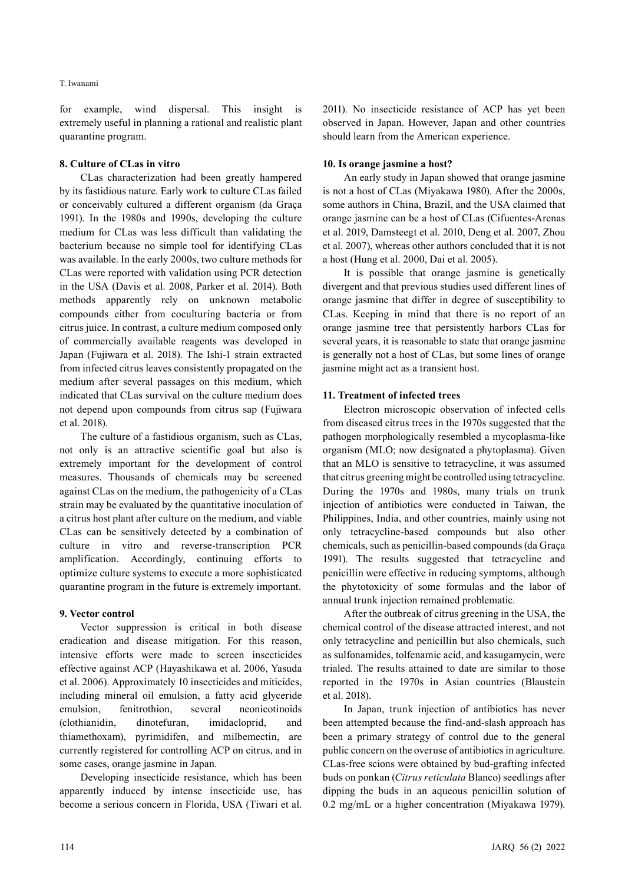for example, wind dispersal. This insight is extremely useful in planning a rational and realistic plant quarantine program.

#### **8. Culture of CLas in vitro**

CLas characterization had been greatly hampered by its fastidious nature. Early work to culture CLas failed or conceivably cultured a different organism (da Graça 1991). In the 1980s and 1990s, developing the culture medium for CLas was less difficult than validating the bacterium because no simple tool for identifying CLas was available. In the early 2000s, two culture methods for CLas were reported with validation using PCR detection in the USA (Davis et al. 2008, Parker et al. 2014). Both methods apparently rely on unknown metabolic compounds either from coculturing bacteria or from citrus juice. In contrast, a culture medium composed only of commercially available reagents was developed in Japan (Fujiwara et al. 2018). The Ishi-1 strain extracted from infected citrus leaves consistently propagated on the medium after several passages on this medium, which indicated that CLas survival on the culture medium does not depend upon compounds from citrus sap (Fujiwara et al. 2018).

The culture of a fastidious organism, such as CLas, not only is an attractive scientific goal but also is extremely important for the development of control measures. Thousands of chemicals may be screened against CLas on the medium, the pathogenicity of a CLas strain may be evaluated by the quantitative inoculation of a citrus host plant after culture on the medium, and viable CLas can be sensitively detected by a combination of culture in vitro and reverse-transcription PCR amplification. Accordingly, continuing efforts to optimize culture systems to execute a more sophisticated quarantine program in the future is extremely important.

#### **9. Vector control**

Vector suppression is critical in both disease eradication and disease mitigation. For this reason, intensive efforts were made to screen insecticides effective against ACP (Hayashikawa et al. 2006, Yasuda et al. 2006). Approximately 10 insecticides and miticides, including mineral oil emulsion, a fatty acid glyceride emulsion, fenitrothion, several neonicotinoids (clothianidin, dinotefuran, imidacloprid, and thiamethoxam), pyrimidifen, and milbemectin, are currently registered for controlling ACP on citrus, and in some cases, orange jasmine in Japan.

Developing insecticide resistance, which has been apparently induced by intense insecticide use, has become a serious concern in Florida, USA (Tiwari et al. 2011). No insecticide resistance of ACP has yet been observed in Japan. However, Japan and other countries should learn from the American experience.

### **10. Is orange jasmine a host?**

An early study in Japan showed that orange jasmine is not a host of CLas (Miyakawa 1980). After the 2000s, some authors in China, Brazil, and the USA claimed that orange jasmine can be a host of CLas (Cifuentes-Arenas et al. 2019, Damsteegt et al. 2010, Deng et al. 2007, Zhou et al. 2007), whereas other authors concluded that it is not a host (Hung et al. 2000, Dai et al. 2005).

It is possible that orange jasmine is genetically divergent and that previous studies used different lines of orange jasmine that differ in degree of susceptibility to CLas. Keeping in mind that there is no report of an orange jasmine tree that persistently harbors CLas for several years, it is reasonable to state that orange jasmine is generally not a host of CLas, but some lines of orange jasmine might act as a transient host.

### **11. Treatment of infected trees**

Electron microscopic observation of infected cells from diseased citrus trees in the 1970s suggested that the pathogen morphologically resembled a mycoplasma-like organism (MLO; now designated a phytoplasma). Given that an MLO is sensitive to tetracycline, it was assumed that citrus greening might be controlled using tetracycline. During the 1970s and 1980s, many trials on trunk injection of antibiotics were conducted in Taiwan, the Philippines, India, and other countries, mainly using not only tetracycline-based compounds but also other chemicals, such as penicillin-based compounds (da Graça 1991). The results suggested that tetracycline and penicillin were effective in reducing symptoms, although the phytotoxicity of some formulas and the labor of annual trunk injection remained problematic.

After the outbreak of citrus greening in the USA, the chemical control of the disease attracted interest, and not only tetracycline and penicillin but also chemicals, such as sulfonamides, tolfenamic acid, and kasugamycin, were trialed. The results attained to date are similar to those reported in the 1970s in Asian countries (Blaustein et al. 2018).

In Japan, trunk injection of antibiotics has never been attempted because the find-and-slash approach has been a primary strategy of control due to the general public concern on the overuse of antibiotics in agriculture. CLas-free scions were obtained by bud-grafting infected buds on ponkan (*Citrus reticulata* Blanco) seedlings after dipping the buds in an aqueous penicillin solution of 0.2 mg/mL or a higher concentration (Miyakawa 1979).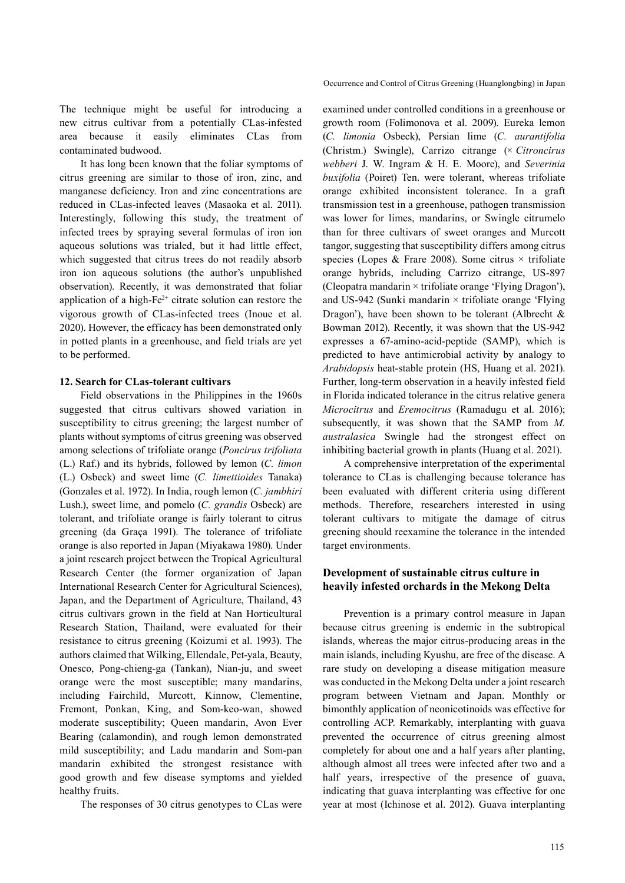Occurrence and Control of Citrus Greening (Huanglongbing) in Japan

The technique might be useful for introducing a new citrus cultivar from a potentially CLas-infested area because it easily eliminates CLas from contaminated budwood.

It has long been known that the foliar symptoms of citrus greening are similar to those of iron, zinc, and manganese deficiency. Iron and zinc concentrations are reduced in CLas-infected leaves (Masaoka et al. 2011). Interestingly, following this study, the treatment of infected trees by spraying several formulas of iron ion aqueous solutions was trialed, but it had little effect, which suggested that citrus trees do not readily absorb iron ion aqueous solutions (the author's unpublished observation). Recently, it was demonstrated that foliar application of a high- $Fe^{2+}$  citrate solution can restore the vigorous growth of CLas-infected trees (Inoue et al. 2020). However, the efficacy has been demonstrated only in potted plants in a greenhouse, and field trials are yet to be performed.

### **12. Search for CLas-tolerant cultivars**

Field observations in the Philippines in the 1960s suggested that citrus cultivars showed variation in susceptibility to citrus greening; the largest number of plants without symptoms of citrus greening was observed among selections of trifoliate orange (*Poncirus trifoliata*  (L.) Raf.) and its hybrids, followed by lemon (*C. limon* (L.) Osbeck) and sweet lime (*C. limettioides* Tanaka) (Gonzales et al. 1972). In India, rough lemon (*C. jambhiri* Lush.), sweet lime, and pomelo (*C. grandis* Osbeck) are tolerant, and trifoliate orange is fairly tolerant to citrus greening (da Graça 1991). The tolerance of trifoliate orange is also reported in Japan (Miyakawa 1980). Under a joint research project between the Tropical Agricultural Research Center (the former organization of Japan International Research Center for Agricultural Sciences), Japan, and the Department of Agriculture, Thailand, 43 citrus cultivars grown in the field at Nan Horticultural Research Station, Thailand, were evaluated for their resistance to citrus greening (Koizumi et al. 1993). The authors claimed that Wilking, Ellendale, Pet-yala, Beauty, Onesco, Pong-chieng-ga (Tankan), Nian-ju, and sweet orange were the most susceptible; many mandarins, including Fairchild, Murcott, Kinnow, Clementine, Fremont, Ponkan, King, and Som-keo-wan, showed moderate susceptibility; Queen mandarin, Avon Ever Bearing (calamondin), and rough lemon demonstrated mild susceptibility; and Ladu mandarin and Som-pan mandarin exhibited the strongest resistance with good growth and few disease symptoms and yielded healthy fruits.

The responses of 30 citrus genotypes to CLas were

examined under controlled conditions in a greenhouse or growth room (Folimonova et al. 2009). Eureka lemon (*C. limonia* Osbeck), Persian lime (*C. aurantifolia* (Christm.) Swingle), Carrizo citrange (× *Citroncirus webberi* J. W. Ingram & H. E. Moore), and *Severinia buxifolia* (Poiret) Ten. were tolerant, whereas trifoliate orange exhibited inconsistent tolerance. In a graft transmission test in a greenhouse, pathogen transmission was lower for limes, mandarins, or Swingle citrumelo than for three cultivars of sweet oranges and Murcott tangor, suggesting that susceptibility differs among citrus species (Lopes & Frare 2008). Some citrus × trifoliate orange hybrids, including Carrizo citrange, US-897 (Cleopatra mandarin × trifoliate orange 'Flying Dragon'), and US-942 (Sunki mandarin  $\times$  trifoliate orange 'Flying Dragon'), have been shown to be tolerant (Albrecht & Bowman 2012). Recently, it was shown that the US-942 expresses a 67-amino-acid-peptide (SAMP), which is predicted to have antimicrobial activity by analogy to *Arabidopsis* heat-stable protein (HS, Huang et al. 2021). Further, long-term observation in a heavily infested field in Florida indicated tolerance in the citrus relative genera *Microcitrus* and *Eremocitrus* (Ramadugu et al. 2016); subsequently, it was shown that the SAMP from *M. australasica* Swingle had the strongest effect on inhibiting bacterial growth in plants (Huang et al. 2021).

A comprehensive interpretation of the experimental tolerance to CLas is challenging because tolerance has been evaluated with different criteria using different methods. Therefore, researchers interested in using tolerant cultivars to mitigate the damage of citrus greening should reexamine the tolerance in the intended target environments.

# **Development of sustainable citrus culture in heavily infested orchards in the Mekong Delta**

Prevention is a primary control measure in Japan because citrus greening is endemic in the subtropical islands, whereas the major citrus-producing areas in the main islands, including Kyushu, are free of the disease. A rare study on developing a disease mitigation measure was conducted in the Mekong Delta under a joint research program between Vietnam and Japan. Monthly or bimonthly application of neonicotinoids was effective for controlling ACP. Remarkably, interplanting with guava prevented the occurrence of citrus greening almost completely for about one and a half years after planting, although almost all trees were infected after two and a half years, irrespective of the presence of guava, indicating that guava interplanting was effective for one year at most (Ichinose et al. 2012). Guava interplanting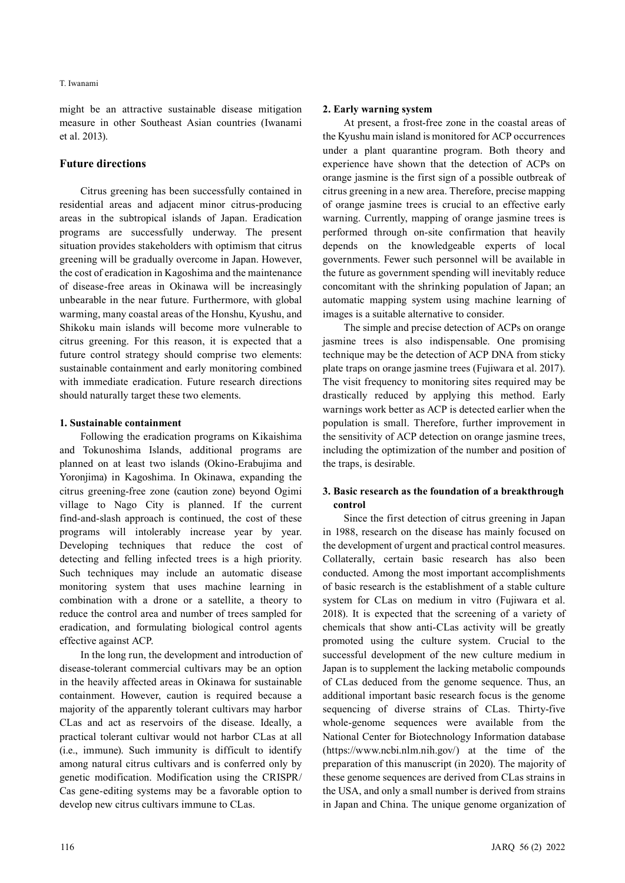might be an attractive sustainable disease mitigation measure in other Southeast Asian countries (Iwanami et al. 2013).

# **Future directions**

Citrus greening has been successfully contained in residential areas and adjacent minor citrus-producing areas in the subtropical islands of Japan. Eradication programs are successfully underway. The present situation provides stakeholders with optimism that citrus greening will be gradually overcome in Japan. However, the cost of eradication in Kagoshima and the maintenance of disease-free areas in Okinawa will be increasingly unbearable in the near future. Furthermore, with global warming, many coastal areas of the Honshu, Kyushu, and Shikoku main islands will become more vulnerable to citrus greening. For this reason, it is expected that a future control strategy should comprise two elements: sustainable containment and early monitoring combined with immediate eradication. Future research directions should naturally target these two elements.

### **1. Sustainable containment**

Following the eradication programs on Kikaishima and Tokunoshima Islands, additional programs are planned on at least two islands (Okino-Erabujima and Yoronjima) in Kagoshima. In Okinawa, expanding the citrus greening-free zone (caution zone) beyond Ogimi village to Nago City is planned. If the current find-and-slash approach is continued, the cost of these programs will intolerably increase year by year. Developing techniques that reduce the cost of detecting and felling infected trees is a high priority. Such techniques may include an automatic disease monitoring system that uses machine learning in combination with a drone or a satellite, a theory to reduce the control area and number of trees sampled for eradication, and formulating biological control agents effective against ACP.

In the long run, the development and introduction of disease-tolerant commercial cultivars may be an option in the heavily affected areas in Okinawa for sustainable containment. However, caution is required because a majority of the apparently tolerant cultivars may harbor CLas and act as reservoirs of the disease. Ideally, a practical tolerant cultivar would not harbor CLas at all (i.e., immune). Such immunity is difficult to identify among natural citrus cultivars and is conferred only by genetic modification. Modification using the CRISPR/ Cas gene-editing systems may be a favorable option to develop new citrus cultivars immune to CLas.

# **2. Early warning system**

At present, a frost-free zone in the coastal areas of the Kyushu main island is monitored for ACP occurrences under a plant quarantine program. Both theory and experience have shown that the detection of ACPs on orange jasmine is the first sign of a possible outbreak of citrus greening in a new area. Therefore, precise mapping of orange jasmine trees is crucial to an effective early warning. Currently, mapping of orange jasmine trees is performed through on-site confirmation that heavily depends on the knowledgeable experts of local governments. Fewer such personnel will be available in the future as government spending will inevitably reduce concomitant with the shrinking population of Japan; an automatic mapping system using machine learning of images is a suitable alternative to consider.

The simple and precise detection of ACPs on orange jasmine trees is also indispensable. One promising technique may be the detection of ACP DNA from sticky plate traps on orange jasmine trees (Fujiwara et al. 2017). The visit frequency to monitoring sites required may be drastically reduced by applying this method. Early warnings work better as ACP is detected earlier when the population is small. Therefore, further improvement in the sensitivity of ACP detection on orange jasmine trees, including the optimization of the number and position of the traps, is desirable.

# **3. Basic research as the foundation of a breakthrough control**

Since the first detection of citrus greening in Japan in 1988, research on the disease has mainly focused on the development of urgent and practical control measures. Collaterally, certain basic research has also been conducted. Among the most important accomplishments of basic research is the establishment of a stable culture system for CLas on medium in vitro (Fujiwara et al. 2018). It is expected that the screening of a variety of chemicals that show anti-CLas activity will be greatly promoted using the culture system. Crucial to the successful development of the new culture medium in Japan is to supplement the lacking metabolic compounds of CLas deduced from the genome sequence. Thus, an additional important basic research focus is the genome sequencing of diverse strains of CLas. Thirty-five whole-genome sequences were available from the National Center for Biotechnology Information database (https://www.ncbi.nlm.nih.gov/) at the time of the preparation of this manuscript (in 2020). The majority of these genome sequences are derived from CLas strains in the USA, and only a small number is derived from strains in Japan and China. The unique genome organization of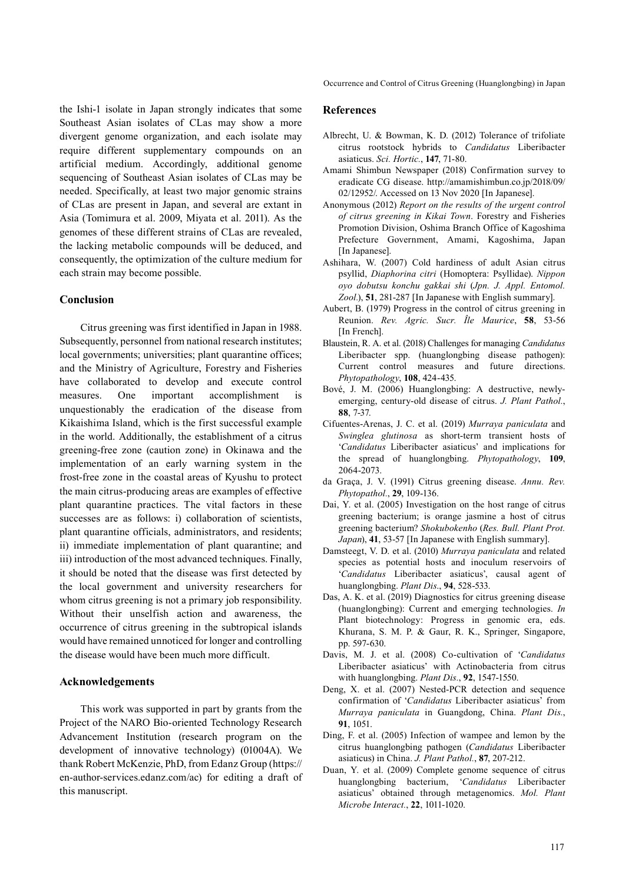the Ishi-1 isolate in Japan strongly indicates that some Southeast Asian isolates of CLas may show a more divergent genome organization, and each isolate may require different supplementary compounds on an artificial medium. Accordingly, additional genome sequencing of Southeast Asian isolates of CLas may be needed. Specifically, at least two major genomic strains of CLas are present in Japan, and several are extant in Asia (Tomimura et al. 2009, Miyata et al. 2011). As the genomes of these different strains of CLas are revealed, the lacking metabolic compounds will be deduced, and consequently, the optimization of the culture medium for each strain may become possible.

### **Conclusion**

Citrus greening was first identified in Japan in 1988. Subsequently, personnel from national research institutes; local governments; universities; plant quarantine offices; and the Ministry of Agriculture, Forestry and Fisheries have collaborated to develop and execute control measures. One important accomplishment is unquestionably the eradication of the disease from Kikaishima Island, which is the first successful example in the world. Additionally, the establishment of a citrus greening-free zone (caution zone) in Okinawa and the implementation of an early warning system in the frost-free zone in the coastal areas of Kyushu to protect the main citrus-producing areas are examples of effective plant quarantine practices. The vital factors in these successes are as follows: i) collaboration of scientists, plant quarantine officials, administrators, and residents; ii) immediate implementation of plant quarantine; and iii) introduction of the most advanced techniques. Finally, it should be noted that the disease was first detected by the local government and university researchers for whom citrus greening is not a primary job responsibility. Without their unselfish action and awareness, the occurrence of citrus greening in the subtropical islands would have remained unnoticed for longer and controlling the disease would have been much more difficult.

### **Acknowledgements**

This work was supported in part by grants from the Project of the NARO Bio-oriented Technology Research Advancement Institution (research program on the development of innovative technology) (01004A). We thank Robert McKenzie, PhD, from Edanz Group (https:// en-author-services.edanz.com/ac) for editing a draft of this manuscript.

Occurrence and Control of Citrus Greening (Huanglongbing) in Japan

#### **References**

- Albrecht, U. & Bowman, K. D. (2012) Tolerance of trifoliate citrus rootstock hybrids to *Candidatus* Liberibacter asiaticus. *Sci. Hortic.*, **147**, 71-80.
- Amami Shimbun Newspaper (2018) Confirmation survey to eradicate CG disease. http://amamishimbun.co.jp/2018/09/ 02/12952/. Accessed on 13 Nov 2020 [In Japanese].
- Anonymous (2012) *Report on the results of the urgent control of citrus greening in Kikai Town*. Forestry and Fisheries Promotion Division, Oshima Branch Office of Kagoshima Prefecture Government, Amami, Kagoshima, Japan [In Japanese].
- Ashihara, W. (2007) Cold hardiness of adult Asian citrus psyllid, *Diaphorina citri* (Homoptera: Psyllidae). *Nippon oyo dobutsu konchu gakkai shi* (*Jpn. J. Appl. Entomol. Zool.*), **51**, 281-287 [In Japanese with English summary].
- Aubert, B. (1979) Progress in the control of citrus greening in Reunion. *Rev. Agric. Sucr. Île Maurice*, **58**, 53-56 [In French].
- Blaustein, R. A. et al. (2018) Challenges for managing *Candidatus* Liberibacter spp. (huanglongbing disease pathogen): Current control measures and future directions. *Phytopathology*, **108**, 424-435.
- Bové, J. M. (2006) Huanglongbing: A destructive, newlyemerging, century-old disease of citrus. *J. Plant Pathol.*, **88**, 7-37.
- Cifuentes-Arenas, J. C. et al. (2019) *Murraya paniculata* and *Swinglea glutinosa* as short-term transient hosts of '*Candidatus* Liberibacter asiaticus' and implications for the spread of huanglongbing. *Phytopathology*, **109**, 2064-2073.
- da Graça, J. V. (1991) Citrus greening disease. *Annu. Rev. Phytopathol.*, **29**, 109-136.
- Dai, Y. et al. (2005) Investigation on the host range of citrus greening bacterium; is orange jasmine a host of citrus greening bacterium? *Shokubokenho* (*Res. Bull. Plant Prot. Japan*), **41**, 53-57 [In Japanese with English summary].
- Damsteegt, V. D. et al. (2010) *Murraya paniculata* and related species as potential hosts and inoculum reservoirs of '*Candidatus* Liberibacter asiaticus', causal agent of huanglongbing. *Plant Dis*., **94**, 528-533.
- Das, A. K. et al. (2019) Diagnostics for citrus greening disease (huanglongbing): Current and emerging technologies. *In*  Plant biotechnology: Progress in genomic era, eds. Khurana, S. M. P. & Gaur, R. K., Springer, Singapore, pp. 597-630.
- Davis, M. J. et al. (2008) Co-cultivation of '*Candidatus* Liberibacter asiaticus' with Actinobacteria from citrus with huanglongbing. *Plant Dis.*, **92**, 1547-1550.
- Deng, X. et al. (2007) Nested-PCR detection and sequence confirmation of '*Candidatus* Liberibacter asiaticus' from *Murraya paniculata* in Guangdong, China. *Plant Dis.*, **91**, 1051.
- Ding, F. et al. (2005) Infection of wampee and lemon by the citrus huanglongbing pathogen (*Candidatus* Liberibacter asiaticus) in China. *J. Plant Pathol.*, **87**, 207-212.
- Duan, Y. et al. (2009) Complete genome sequence of citrus huanglongbing bacterium, '*Candidatus* Liberibacter asiaticus' obtained through metagenomics. *Mol. Plant Microbe Interact.*, **22**, 1011-1020.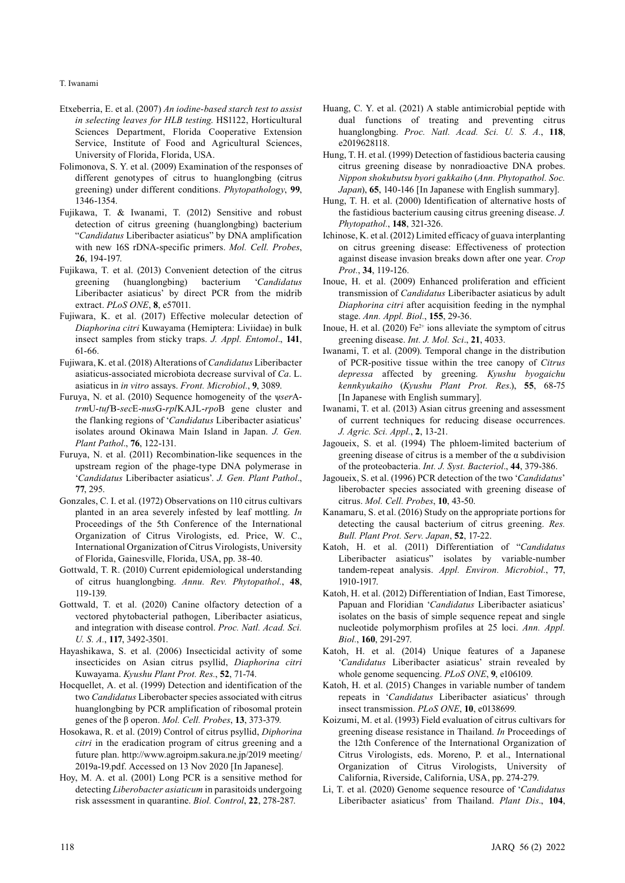- Etxeberria, E. et al. (2007) *An iodine-based starch test to assist in selecting leaves for HLB testing*. HS1122, Horticultural Sciences Department, Florida Cooperative Extension Service, Institute of Food and Agricultural Sciences, University of Florida, Florida, USA.
- Folimonova, S. Y. et al. (2009) Examination of the responses of different genotypes of citrus to huanglongbing (citrus greening) under different conditions. *Phytopathology*, **99**, 1346-1354.
- Fujikawa, T. & Iwanami, T. (2012) Sensitive and robust detection of citrus greening (huanglongbing) bacterium "*Candidatus* Liberibacter asiaticus" by DNA amplification with new 16S rDNA-specific primers. *Mol. Cell. Probes*, **26**, 194-197.
- Fujikawa, T. et al. (2013) Convenient detection of the citrus greening (huanglongbing) bacterium '*Candidatus*  Liberibacter asiaticus' by direct PCR from the midrib extract. *PLoS ONE*, **8**, e57011.
- Fujiwara, K. et al. (2017) Effective molecular detection of *Diaphorina citri* Kuwayama (Hemiptera: Liviidae) in bulk insect samples from sticky traps. *J. Appl. Entomol*., **141**, 61-66.
- Fujiwara, K. et al. (2018) Alterations of *Candidatus* Liberibacter asiaticus-associated microbiota decrease survival of *Ca*. L. asiaticus in *in vitro* assays. *Front. Microbiol.*, **9**, 3089.
- Furuya, N. et al. (2010) Sequence homogeneity of the ψ*ser*A*trm*U-*tuf*B-*sec*E-*nus*G-*rpl*KAJL-*rpo*B gene cluster and the flanking regions of '*Candidatus* Liberibacter asiaticus' isolates around Okinawa Main Island in Japan. *J. Gen. Plant Pathol*., **76**, 122-131.
- Furuya, N. et al. (2011) Recombination-like sequences in the upstream region of the phage-type DNA polymerase in '*Candidatus* Liberibacter asiaticus'. *J. Gen. Plant Pathol*., **77**, 295.
- Gonzales, C. I. et al. (1972) Observations on 110 citrus cultivars planted in an area severely infested by leaf mottling. *In*  Proceedings of the 5th Conference of the International Organization of Citrus Virologists, ed. Price, W. C., International Organization of Citrus Virologists, University of Florida, Gainesville, Florida, USA, pp. 38-40.
- Gottwald, T. R. (2010) Current epidemiological understanding of citrus huanglongbing. *Annu. Rev. Phytopathol.*, **48**, 119-139.
- Gottwald, T. et al. (2020) Canine olfactory detection of a vectored phytobacterial pathogen, Liberibacter asiaticus, and integration with disease control. *Proc. Natl. Acad. Sci. U. S. A.*, **117**, 3492-3501.
- Hayashikawa, S. et al. (2006) Insecticidal activity of some insecticides on Asian citrus psyllid, *Diaphorina citri* Kuwayama. *Kyushu Plant Prot. Res.*, **52**, 71-74.
- Hocquellet, A. et al. (1999) Detection and identification of the two *Candidatus* Liberobacter species associated with citrus huanglongbing by PCR amplification of ribosomal protein genes of the β operon. *Mol. Cell. Probes*, **13**, 373-379.
- Hosokawa, R. et al. (2019) Control of citrus psyllid, *Diphorina citri* in the eradication program of citrus greening and a future plan. http://www.agroipm.sakura.ne.jp/2019 meeting/ 2019a-19.pdf. Accessed on 13 Nov 2020 [In Japanese].
- Hoy, M. A. et al. (2001) Long PCR is a sensitive method for detecting *Liberobacter asiaticum* in parasitoids undergoing risk assessment in quarantine. *Biol. Control*, **22**, 278-287.
- Huang, C. Y. et al. (2021) A stable antimicrobial peptide with dual functions of treating and preventing citrus huanglongbing. *Proc. Natl. Acad. Sci. U. S. A.*, **118**, e2019628118.
- Hung, T. H. et al. (1999) Detection of fastidious bacteria causing citrus greening disease by nonradioactive DNA probes. *Nippon shokubutsu byori gakkaiho* (*Ann. Phytopathol. Soc. Japan*), **65**, 140-146 [In Japanese with English summary].
- Hung, T. H. et al. (2000) Identification of alternative hosts of the fastidious bacterium causing citrus greening disease. *J. Phytopathol.*, **148**, 321-326.
- Ichinose, K. et al. (2012) Limited efficacy of guava interplanting on citrus greening disease: Effectiveness of protection against disease invasion breaks down after one year. *Crop Prot.*, **34**, 119-126.
- Inoue, H. et al. (2009) Enhanced proliferation and efficient transmission of *Candidatus* Liberibacter asiaticus by adult *Diaphorina citri* after acquisition feeding in the nymphal stage. *Ann. Appl. Biol.*, **155**, 29-36.
- Inoue, H. et al. (2020)  $Fe^{2+}$  ions alleviate the symptom of citrus greening disease. *Int. J. Mol. Sci*., **21**, 4033.
- Iwanami, T. et al. (2009). Temporal change in the distribution of PCR-positive tissue within the tree canopy of *Citrus depressa* affected by greening. *Kyushu byogaichu kennkyukaiho* (*Kyushu Plant Prot. Res*.), **55**, 68-75 [In Japanese with English summary].
- Iwanami, T. et al. (2013) Asian citrus greening and assessment of current techniques for reducing disease occurrences. *J. Agric. Sci. Appl.*, **2**, 13-21.
- Jagoueix, S. et al. (1994) The phloem-limited bacterium of greening disease of citrus is a member of the  $\alpha$  subdivision of the proteobacteria. *Int. J. Syst. Bacteriol*., **44**, 379-386.
- Jagoueix, S. et al. (1996) PCR detection of the two '*Candidatus*' liberobacter species associated with greening disease of citrus. *Mol. Cell. Probes*, **10**, 43-50.
- Kanamaru, S. et al. (2016) Study on the appropriate portions for detecting the causal bacterium of citrus greening. *Res. Bull. Plant Prot. Serv. Japan*, **52**, 17-22.
- Katoh, H. et al. (2011) Differentiation of "*Candidatus* Liberibacter asiaticus" isolates by variable-number tandem-repeat analysis. *Appl. Environ. Microbiol.*, **77**, 1910-1917.
- Katoh, H. et al. (2012) Differentiation of Indian, East Timorese, Papuan and Floridian '*Candidatus* Liberibacter asiaticus' isolates on the basis of simple sequence repeat and single nucleotide polymorphism profiles at 25 loci. *Ann. Appl. Biol.*, **160**, 291-297.
- Katoh, H. et al. (2014) Unique features of a Japanese '*Candidatus* Liberibacter asiaticus' strain revealed by whole genome sequencing. *PLoS ONE*, **9**, e106109.
- Katoh, H. et al. (2015) Changes in variable number of tandem repeats in '*Candidatus* Liberibacter asiaticus' through insect transmission. *PLoS ONE*, **10**, e0138699.
- Koizumi, M. et al. (1993) Field evaluation of citrus cultivars for greening disease resistance in Thailand. *In* Proceedings of the 12th Conference of the International Organization of Citrus Virologists, eds. Moreno, P. et al., International Organization of Citrus Virologists, University of California, Riverside, California, USA, pp. 274-279.
- Li, T. et al. (2020) Genome sequence resource of '*Candidatus* Liberibacter asiaticus' from Thailand. *Plant Dis*., **104**,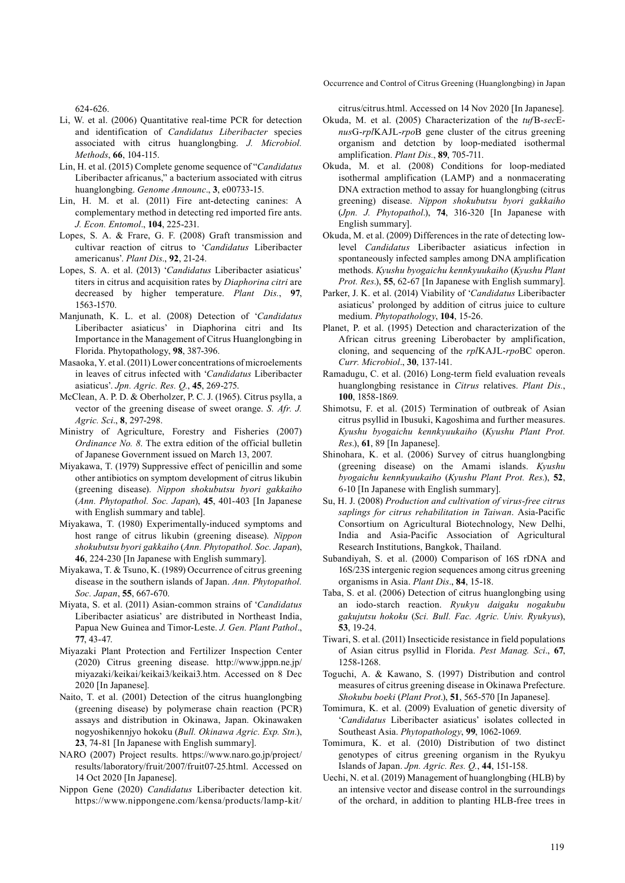Occurrence and Control of Citrus Greening (Huanglongbing) in Japan

624-626.

- Li, W. et al. (2006) Quantitative real-time PCR for detection and identification of *Candidatus Liberibacter* species associated with citrus huanglongbing. *J. Microbiol. Methods*, **66**, 104-115.
- Lin, H. et al. (2015) Complete genome sequence of "*Candidatus* Liberibacter africanus," a bacterium associated with citrus huanglongbing. *Genome Announc*., **3**, e00733-15.
- Lin, H. M. et al. (2011) Fire ant-detecting canines: A complementary method in detecting red imported fire ants. *J. Econ. Entomol*., **104**, 225-231.
- Lopes, S. A. & Frare, G. F. (2008) Graft transmission and cultivar reaction of citrus to '*Candidatus* Liberibacter americanus'. *Plant Dis*., **92**, 21-24.
- Lopes, S. A. et al. (2013) '*Candidatus* Liberibacter asiaticus' titers in citrus and acquisition rates by *Diaphorina citri* are decreased by higher temperature. *Plant Dis.*, **97**, 1563-1570.
- Manjunath, K. L. et al. (2008) Detection of '*Candidatus* Liberibacter asiaticus' in Diaphorina citri and Its Importance in the Management of Citrus Huanglongbing in Florida. Phytopathology, **98**, 387-396.
- Masaoka, Y. et al. (2011) Lower concentrations of microelements in leaves of citrus infected with '*Candidatus* Liberibacter asiaticus'. *Jpn. Agric. Res. Q.*, **45**, 269-275.
- McClean, A. P. D. & Oberholzer, P. C. J. (1965). Citrus psylla, a vector of the greening disease of sweet orange. *S. Afr. J. Agric. Sci*., **8**, 297-298.
- Ministry of Agriculture, Forestry and Fisheries (2007) *Ordinance No. 8*. The extra edition of the official bulletin of Japanese Government issued on March 13, 2007.
- Miyakawa, T. (1979) Suppressive effect of penicillin and some other antibiotics on symptom development of citrus likubin (greening disease). *Nippon shokubutsu byori gakkaiho* (*Ann. Phytopathol. Soc. Japan*), **45**, 401-403 [In Japanese with English summary and table].
- Miyakawa, T. (1980) Experimentally-induced symptoms and host range of citrus likubin (greening disease). *Nippon shokubutsu byori gakkaiho* (*Ann. Phytopathol. Soc. Japan*), **46**, 224-230 [In Japanese with English summary].
- Miyakawa, T. & Tsuno, K. (1989) Occurrence of citrus greening disease in the southern islands of Japan. *Ann. Phytopathol. Soc. Japan*, **55**, 667-670.
- Miyata, S. et al. (2011) Asian-common strains of '*Candidatus* Liberibacter asiaticus' are distributed in Northeast India, Papua New Guinea and Timor-Leste. *J. Gen. Plant Pathol*., **77**, 43-47.
- Miyazaki Plant Protection and Fertilizer Inspection Center (2020) Citrus greening disease. http://www.jppn.ne.jp/ miyazaki/keikai/keikai3/keikai3.htm. Accessed on 8 Dec 2020 [In Japanese].
- Naito, T. et al. (2001) Detection of the citrus huanglongbing (greening disease) by polymerase chain reaction (PCR) assays and distribution in Okinawa, Japan. Okinawaken nogyoshikennjyo hokoku (*Bull. Okinawa Agric. Exp. Stn.*), **23**, 74-81 [In Japanese with English summary].
- NARO (2007) Project results. https://www.naro.go.jp/project/ results/laboratory/fruit/2007/fruit07-25.html. Accessed on 14 Oct 2020 [In Japanese].
- Nippon Gene (2020) *Candidatus* Liberibacter detection kit. https://www.nippongene.com/kensa/products/lamp-kit/

citrus/citrus.html. Accessed on 14 Nov 2020 [In Japanese].

- Okuda, M. et al. (2005) Characterization of the *tuf*B-*sec*E*nus*G-*rpl*KAJL-*rpo*B gene cluster of the citrus greening organism and detction by loop-mediated isothermal amplification. *Plant Dis.*, **89**, 705-711.
- Okuda, M. et al. (2008) Conditions for loop-mediated isothermal amplification (LAMP) and a nonmacerating DNA extraction method to assay for huanglongbing (citrus greening) disease. *Nippon shokubutsu byori gakkaiho* (*Jpn. J. Phytopathol*.), **74**, 316-320 [In Japanese with English summary].
- Okuda, M. et al. (2009) Differences in the rate of detecting lowlevel *Candidatus* Liberibacter asiaticus infection in spontaneously infected samples among DNA amplification methods. *Kyushu byogaichu kennkyuukaiho* (*Kyushu Plant Prot. Res*.), **55**, 62-67 [In Japanese with English summary].
- Parker, J. K. et al. (2014) Viability of '*Candidatus* Liberibacter asiaticus' prolonged by addition of citrus juice to culture medium. *Phytopathology*, **104**, 15-26.
- Planet, P. et al. (1995) Detection and characterization of the African citrus greening Liberobacter by amplification, cloning, and sequencing of the *rpl*KAJL-*rpo*BC operon. *Curr. Microbiol*., **30**, 137-141.
- Ramadugu, C. et al. (2016) Long-term field evaluation reveals huanglongbing resistance in *Citrus* relatives. *Plant Dis.*, **100**, 1858-1869.
- Shimotsu, F. et al. (2015) Termination of outbreak of Asian citrus psyllid in Ibusuki, Kagoshima and further measures. *Kyushu byogaichu kennkyuukaiho* (*Kyushu Plant Prot. Res*.), **61**, 89 [In Japanese].
- Shinohara, K. et al. (2006) Survey of citrus huanglongbing (greening disease) on the Amami islands. *Kyushu byogaichu kennkyuukaiho* (*Kyushu Plant Prot. Res*.), **52**, 6-10 [In Japanese with English summary].
- Su, H. J. (2008) *Production and cultivation of virus-free citrus saplings for citrus rehabilitation in Taiwan*. Asia-Pacific Consortium on Agricultural Biotechnology, New Delhi, India and Asia-Pacific Association of Agricultural Research Institutions, Bangkok, Thailand.
- Subandiyah, S. et al. (2000) Comparison of 16S rDNA and 16S/23S intergenic region sequences among citrus greening organisms in Asia. *Plant Dis*., **84**, 15-18.
- Taba, S. et al. (2006) Detection of citrus huanglongbing using an iodo-starch reaction. *Ryukyu daigaku nogakubu gakujutsu hokoku* (*Sci. Bull. Fac. Agric. Univ. Ryukyus*), **53**, 19-24.
- Tiwari, S. et al. (2011) Insecticide resistance in field populations of Asian citrus psyllid in Florida. *Pest Manag. Sci*., **67**, 1258-1268.
- Toguchi, A. & Kawano, S. (1997) Distribution and control measures of citrus greening disease in Okinawa Prefecture. *Shokubu boeki* (*Plant Prot*.), **51**, 565-570 [In Japanese].
- Tomimura, K. et al. (2009) Evaluation of genetic diversity of '*Candidatus* Liberibacter asiaticus' isolates collected in Southeast Asia. *Phytopathology*, **99**, 1062-1069.
- Tomimura, K. et al. (2010) Distribution of two distinct genotypes of citrus greening organism in the Ryukyu Islands of Japan. *Jpn. Agric. Res. Q.*, **44**, 151-158.
- Uechi, N. et al. (2019) Management of huanglongbing (HLB) by an intensive vector and disease control in the surroundings of the orchard, in addition to planting HLB-free trees in